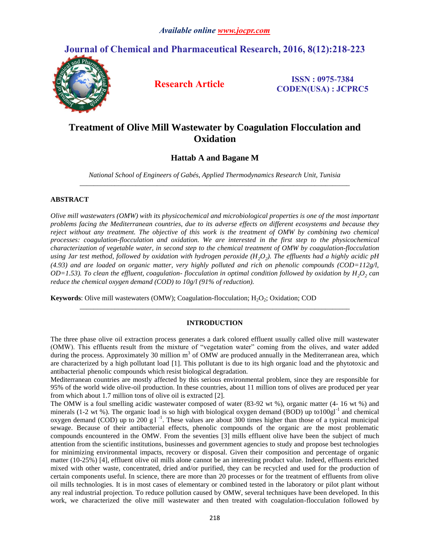# **Journal of Chemical and Pharmaceutical Research, 2016, 8(12):218-223**



**Research Article ISSN : 0975-7384 CODEN(USA) : JCPRC5**

# **Treatment of Olive Mill Wastewater by Coagulation Flocculation and Oxidation**

# **Hattab A and Bagane M**

*National School of Engineers of Gabés, Applied Thermodynamics Research Unit, Tunisia \_\_\_\_\_\_\_\_\_\_\_\_\_\_\_\_\_\_\_\_\_\_\_\_\_\_\_\_\_\_\_\_\_\_\_\_\_\_\_\_\_\_\_\_\_\_\_\_\_\_\_\_\_\_\_\_\_\_\_\_\_\_\_\_\_\_\_\_\_\_\_\_\_\_\_\_\_*

# **ABSTRACT**

*Olive mill wastewaters (OMW) with its physicochemical and microbiological properties is one of the most important problems facing the Mediterranean countries, due to its adverse effects on different ecosystems and because they reject without any treatment. The objective of this work is the treatment of OMW by combining two chemical processes: coagulation-flocculation and oxidation. We are interested in the first step to the physicochemical characterization of vegetable water, in second step to the chemical treatment of OMW by coagulation-flocculation using Jar test method, followed by oxidation with hydrogen peroxide (H2O<sup>2</sup> ). The effluents had a highly acidic pH (4.93) and are loaded on organic matter, very highly polluted and rich on phenolic compounds (COD=112g/l, OD*=1.53). To clean the effluent, coagulation-flocculation in optimal condition followed by oxidation by  $H_2O_2$  can *reduce the chemical oxygen demand (COD) to 10g/l (91% of reduction).*

**Keywords**: Olive mill wastewaters (OMW); Coagulation-flocculation; H<sub>2</sub>O<sub>2</sub>; Oxidation; COD

# **INTRODUCTION**

*\_\_\_\_\_\_\_\_\_\_\_\_\_\_\_\_\_\_\_\_\_\_\_\_\_\_\_\_\_\_\_\_\_\_\_\_\_\_\_\_\_\_\_\_\_\_\_\_\_\_\_\_\_\_\_\_\_\_\_\_\_\_\_\_\_\_\_\_\_\_\_\_\_\_\_\_\_*

The three phase olive oil extraction process generates a dark colored effluent usually called olive mill wastewater (OMW). This effluents result from the mixture of "vegetation water" coming from the olives, and water added during the process. Approximately 30 million m<sup>3</sup> of OMW are produced annually in the Mediterranean area, which are characterized by a high pollutant load [1]. This pollutant is due to its high organic load and the phytotoxic and antibacterial phenolic compounds which resist biological degradation.

Mediterranean countries are mostly affected by this serious environmental problem, since they are responsible for 95% of the world wide olive-oil production. In these countries, about 11 million tons of olives are produced per year from which about 1.7 million tons of olive oil is extracted [2].

The OMW is a foul smelling acidic wastewater composed of water (83-92 wt %), organic matter (4- 16 wt %) and minerals (1-2 wt %). The organic load is so high with biological oxygen demand (BOD) up to100gl<sup>-1</sup> and chemical oxygen demand (COD) up to 200 g  $1^{-1}$ . These values are about 300 times higher than those of a typical municipal sewage. Because of their antibacterial effects, phenolic compounds of the organic are the most problematic compounds encountered in the OMW. From the seventies [3] mills effluent olive have been the subject of much attention from the scientific institutions, businesses and government agencies to study and propose best technologies for minimizing environmental impacts, recovery or disposal. Given their composition and percentage of organic matter (10-25%) [4], effluent olive oil mills alone cannot be an interesting product value. Indeed, effluents enriched mixed with other waste, concentrated, dried and/or purified, they can be recycled and used for the production of certain components useful. In science, there are more than 20 processes or for the treatment of effluents from olive oil mills technologies. It is in most cases of elementary or combined tested in the laboratory or pilot plant without any real industrial projection. To reduce pollution caused by OMW, several techniques have been developed. In this work, we characterized the olive mill wastewater and then treated with coagulation-flocculation followed by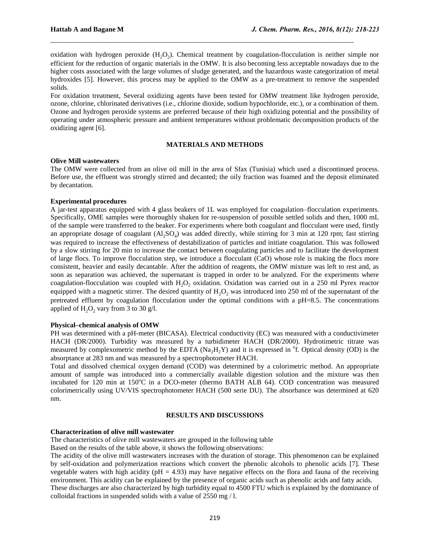oxidation with hydrogen peroxide  $(H_2O_2)$ . Chemical treatment by coagulation-flocculation is neither simple nor efficient for the reduction of organic materials in the OMW. It is also becoming less acceptable nowadays due to the higher costs associated with the large volumes of sludge generated, and the hazardous waste categorization of metal hydroxides [5]. However, this process may be applied to the OMW as a pre-treatment to remove the suspended solids.

 $\mathcal{L}_\text{max} = \mathcal{L}_\text{max} = \mathcal{L}_\text{max} = \mathcal{L}_\text{max} = \mathcal{L}_\text{max} = \mathcal{L}_\text{max} = \mathcal{L}_\text{max} = \mathcal{L}_\text{max} = \mathcal{L}_\text{max} = \mathcal{L}_\text{max} = \mathcal{L}_\text{max} = \mathcal{L}_\text{max} = \mathcal{L}_\text{max} = \mathcal{L}_\text{max} = \mathcal{L}_\text{max} = \mathcal{L}_\text{max} = \mathcal{L}_\text{max} = \mathcal{L}_\text{max} = \mathcal{$ 

For oxidation treatment, Several oxidizing agents have been tested for OMW treatment like hydrogen peroxide, ozone, chlorine, chlorinated derivatives (i.e., chlorine dioxide, sodium hypochloride, etc.), or a combination of them. Ozone and hydrogen peroxide systems are preferred because of their high oxidizing potential and the possibility of operating under atmospheric pressure and ambient temperatures without problematic decomposition products of the oxidizing agent [6].

#### **MATERIALS AND METHODS**

#### **Olive Mill wastewaters**

The OMW were collected from an olive oil mill in the area of Sfax (Tunisia) which used a discontinued process. Before use, the effluent was strongly stirred and decanted; the oily fraction was foamed and the deposit eliminated by decantation.

## **Experimental procedures**

A jar-test apparatus equipped with 4 glass beakers of 1L was employed for coagulation–flocculation experiments. Specifically, OME samples were thoroughly shaken for re-suspension of possible settled solids and then, 1000 mL of the sample were transferred to the beaker. For experiments where both coagulant and flocculant were used, firstly an appropriate dosage of coagulant  $(Al_2SO_4)$  was added directly, while stirring for 3 min at 120 rpm; fast stirring was required to increase the effectiveness of destabilization of particles and initiate coagulation. This was followed by a slow stirring for 20 min to increase the contact between coagulating particles and to facilitate the development of large flocs. To improve flocculation step, we introduce a flocculant (CaO) whose role is making the flocs more consistent, heavier and easily decantable. After the addition of reagents, the OMW mixture was left to rest and, as soon as separation was achieved, the supernatant is trapped in order to be analyzed. For the experiments where coagulation-flocculation was coupled with  $H_2O_2$  oxidation. Oxidation was carried out in a 250 ml Pyrex reactor equipped with a magnetic stirrer. The desired quantity of  $H<sub>2</sub>O<sub>2</sub>$  was introduced into 250 ml of the supernatant of the pretreated effluent by coagulation flocculation under the optimal conditions with a pH=8.5. The concentrations applied of  $H_2O_2$  vary from 3 to 30 g/l.

### **Physical–chemical analysis of OMW**

PH was determined with a pH-meter (BICASA). Electrical conductivity (EC) was measured with a conductivimeter HACH (DR/2000). Turbidity was measured by a turbidimeter HACH (DR/2000). Hydrotimetric titrate was measured by complexometric method by the EDTA  $(Na_2H_2Y)$  and it is expressed in <sup>o</sup>f. Optical density (OD) is the absorptance at 283 nm and was measured by a spectrophotometer HACH.

Total and dissolved chemical oxygen demand (COD) was determined by a colorimetric method. An appropriate amount of sample was introduced into a commercially available digestion solution and the mixture was then incubated for 120 min at 150°C in a DCO-meter (thermo BATH ALB 64). COD concentration was measured colorimetrically using UV/VIS spectrophotometer HACH (500 serie DU). The absorbance was determined at 620 nm.

#### **RESULTS AND DISCUSSIONS**

#### **Characterization of olive mill wastewater**

The characteristics of olive mill wastewaters are grouped in the following table

Based on the results of the table above, it shows the following observations:

The acidity of the olive mill wastewaters increases with the duration of storage. This phenomenon can be explained by self-oxidation and polymerization reactions which convert the phenolic alcohols to phenolic acids [7]. These vegetable waters with high acidity ( $pH = 4.93$ ) may have negative effects on the flora and fauna of the receiving environment. This acidity can be explained by the presence of organic acids such as phenolic acids and fatty acids. These discharges are also characterized by high turbidity equal to 4500 FTU which is explained by the dominance of colloidal fractions in suspended solids with a value of 2550 mg / l.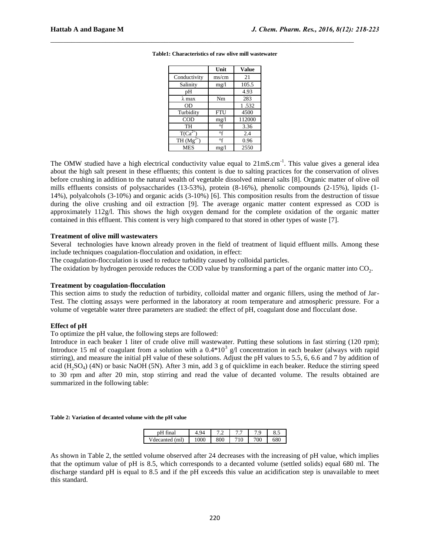|                         | Unit       | <b>Value</b> |
|-------------------------|------------|--------------|
| Conductivity            | ms/cm      | 21           |
| Salinity                | mg/1       | 105.5        |
| pН                      |            | 4.93         |
| λmax                    | Nm         | 283          |
| 0D                      |            | 1.532        |
| Turbidity               | <b>FTU</b> | 4500         |
| COD                     | mg/1       | 112000       |
| TH                      | $\circ$ f  | 3.36         |
| $T(\overline{Ca}^{2+})$ | $\circ$ f  | 2.4          |
| TH $(Mg^{2+}$           | $\circ$ f  | 0.96         |
| MES                     | mg/l       | 2550         |

**Table1: Characteristics of raw olive mill wastewater**

 $\mathcal{L}_\text{max} = \mathcal{L}_\text{max} = \mathcal{L}_\text{max} = \mathcal{L}_\text{max} = \mathcal{L}_\text{max} = \mathcal{L}_\text{max} = \mathcal{L}_\text{max} = \mathcal{L}_\text{max} = \mathcal{L}_\text{max} = \mathcal{L}_\text{max} = \mathcal{L}_\text{max} = \mathcal{L}_\text{max} = \mathcal{L}_\text{max} = \mathcal{L}_\text{max} = \mathcal{L}_\text{max} = \mathcal{L}_\text{max} = \mathcal{L}_\text{max} = \mathcal{L}_\text{max} = \mathcal{$ 

The OMW studied have a high electrical conductivity value equal to  $21 \text{mS.cm}^{-1}$ . This value gives a general idea about the high salt present in these effluents; this content is due to salting practices for the conservation of olives before crushing in addition to the natural wealth of vegetable dissolved mineral salts [8]. Organic matter of olive oil mills effluents consists of polysaccharides (13-53%), protein (8-16%), phenolic compounds (2-15%), lipids (1- 14%), polyalcohols (3-10%) and organic acids (3-10%) [6]. This composition results from the destruction of tissue during the olive crushing and oil extraction [9]. The average organic matter content expressed as COD is approximately 112g/l. This shows the high oxygen demand for the complete oxidation of the organic matter contained in this effluent. This content is very high compared to that stored in other types of waste [7].

# **Treatment of olive mill wastewaters**

Several technologies have known already proven in the field of treatment of liquid effluent mills. Among these include techniques coagulation-flocculation and oxidation, in effect:

The coagulation-flocculation is used to reduce turbidity caused by colloidal particles.

The oxidation by hydrogen peroxide reduces the COD value by transforming a part of the organic matter into  $CO_2$ .

## **Treatment by coagulation-flocculation**

This section aims to study the reduction of turbidity, colloidal matter and organic fillers, using the method of Jar-Test. The clotting assays were performed in the laboratory at room temperature and atmospheric pressure. For a volume of vegetable water three parameters are studied: the effect of pH, coagulant dose and flocculant dose.

## **Effect of pH**

To optimize the pH value, the following steps are followed:

Introduce in each beaker 1 liter of crude olive mill wastewater. Putting these solutions in fast stirring (120 rpm); Introduce 15 ml of coagulant from a solution with a  $0.4*10^3$  g/l concentration in each beaker (always with rapid stirring), and measure the initial pH value of these solutions. Adjust the pH values to 5.5, 6, 6.6 and 7 by addition of acid (H<sub>2</sub>SO<sub>4</sub>) (4N) or basic NaOH (5N). After 3 min, add 3 g of quicklime in each beaker. Reduce the stirring speed to 30 rpm and after 20 min, stop stirring and read the value of decanted volume. The results obtained are summarized in the following table:

#### **Table 2: Variation of decanted volume with the pH value**

| nH <sup>c</sup><br>final | $Q_{\Delta}$ | ¬ ⌒<br>ے ، | $\overline{\phantom{0}}$<br>. . | $\Omega$<br>⇁<br>$\cdot$ | റ.പ |
|--------------------------|--------------|------------|---------------------------------|--------------------------|-----|
| (ml)<br>$V$ decanted     | 000          | 800        | 710                             | 700                      | 680 |

As shown in Table 2, the settled volume observed after 24 decreases with the increasing of pH value, which implies that the optimum value of pH is 8.5, which corresponds to a decanted volume (settled solids) equal 680 ml. The discharge standard pH is equal to 8.5 and if the pH exceeds this value an acidification step is unavailable to meet this standard.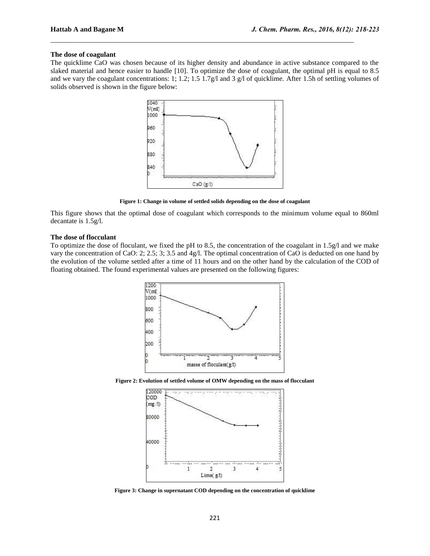# **The dose of coagulant**

The quicklime CaO was chosen because of its higher density and abundance in active substance compared to the slaked material and hence easier to handle [10]. To optimize the dose of coagulant, the optimal pH is equal to 8.5 and we vary the coagulant concentrations: 1; 1.2; 1.5 1.7g/l and 3 g/l of quicklime. After 1.5h of settling volumes of solids observed is shown in the figure below:

 $\mathcal{L}_\text{max} = \mathcal{L}_\text{max} = \mathcal{L}_\text{max} = \mathcal{L}_\text{max} = \mathcal{L}_\text{max} = \mathcal{L}_\text{max} = \mathcal{L}_\text{max} = \mathcal{L}_\text{max} = \mathcal{L}_\text{max} = \mathcal{L}_\text{max} = \mathcal{L}_\text{max} = \mathcal{L}_\text{max} = \mathcal{L}_\text{max} = \mathcal{L}_\text{max} = \mathcal{L}_\text{max} = \mathcal{L}_\text{max} = \mathcal{L}_\text{max} = \mathcal{L}_\text{max} = \mathcal{$ 



**Figure 1: Change in volume of settled solids depending on the dose of coagulant**

This figure shows that the optimal dose of coagulant which corresponds to the minimum volume equal to 860ml decantate is 1.5g/l.

#### **The dose of flocculant**

To optimize the dose of floculant, we fixed the pH to 8.5, the concentration of the coagulant in 1.5g/l and we make vary the concentration of CaO: 2; 2.5; 3; 3.5 and 4g/l. The optimal concentration of CaO is deducted on one hand by the evolution of the volume settled after a time of 11 hours and on the other hand by the calculation of the COD of floating obtained. The found experimental values are presented on the following figures:



**Figure 2: Evolution of settled volume of OMW depending on the mass of flocculant**



**Figure 3: Change in supernatant COD depending on the concentration of quicklime**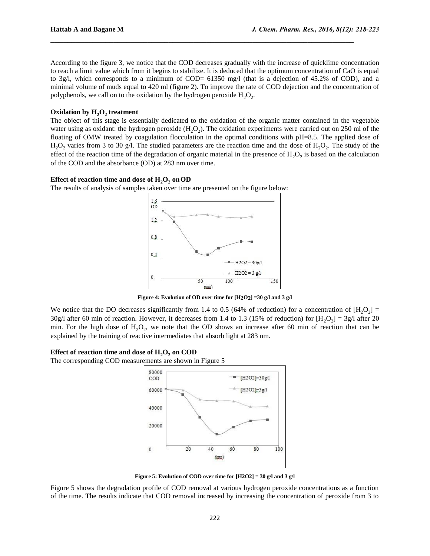According to the figure 3, we notice that the COD decreases gradually with the increase of quicklime concentration to reach a limit value which from it begins to stabilize. It is deduced that the optimum concentration of CaO is equal to 3g/l, which corresponds to a minimum of COD= 61350 mg/l (that is a dejection of 45.2% of COD), and a minimal volume of muds equal to 420 ml (figure 2). To improve the rate of COD dejection and the concentration of polyphenols, we call on to the oxidation by the hydrogen peroxide  $H_2O_2$ .

 $\mathcal{L}_\text{max} = \mathcal{L}_\text{max} = \mathcal{L}_\text{max} = \mathcal{L}_\text{max} = \mathcal{L}_\text{max} = \mathcal{L}_\text{max} = \mathcal{L}_\text{max} = \mathcal{L}_\text{max} = \mathcal{L}_\text{max} = \mathcal{L}_\text{max} = \mathcal{L}_\text{max} = \mathcal{L}_\text{max} = \mathcal{L}_\text{max} = \mathcal{L}_\text{max} = \mathcal{L}_\text{max} = \mathcal{L}_\text{max} = \mathcal{L}_\text{max} = \mathcal{L}_\text{max} = \mathcal{$ 

# **Oxidation by H2O<sup>2</sup> treatment**

The object of this stage is essentially dedicated to the oxidation of the organic matter contained in the vegetable water using as oxidant: the hydrogen peroxide  $(H_2O_2)$ . The oxidation experiments were carried out on 250 ml of the floating of OMW treated by coagulation flocculation in the optimal conditions with pH=8.5. The applied dose of  $H_2O_2$  varies from 3 to 30 g/l. The studied parameters are the reaction time and the dose of  $H_2O_2$ . The study of the effect of the reaction time of the degradation of organic material in the presence of  $H_2O_2$  is based on the calculation of the COD and the absorbance (OD) at 283 nm over time.

# Effect of reaction time and dose of  $\text{H}_{2}\text{O}_{2}$  on OD

The results of analysis of samples taken over time are presented on the figure below:



**Figure 4: Evolution of OD over time for [H2O2] =30 g/l and 3 g/l**

We notice that the DO decreases significantly from 1.4 to 0.5 (64% of reduction) for a concentration of  $[H_2O_2]$  = 30g/l after 60 min of reaction. However, it decreases from 1.4 to 1.3 (15% of reduction) for  $[H_2O_2] = 3g/$ l after 20 min. For the high dose of  $H_2O_2$ , we note that the OD shows an increase after 60 min of reaction that can be explained by the training of reactive intermediates that absorb light at 283 nm.

# Effect of reaction time and dose of  $\text{H}_{2}\text{O}_{2}$  on COD

The corresponding COD measurements are shown in Figure 5



**Figure 5: Evolution of COD over time for [H2O2] = 30 g/l and 3 g/l**

Figure 5 shows the degradation profile of COD removal at various hydrogen peroxide concentrations as a function of the time. The results indicate that COD removal increased by increasing the concentration of peroxide from 3 to